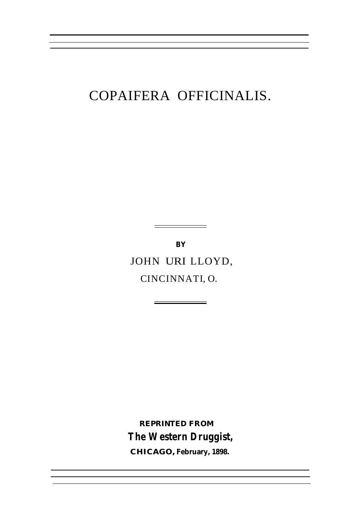## COPAIFERA OFFICINALIS.

**BY** JOHN URI LLOYD, CINCINNATI, O.

÷

**REPRINTED FROM The Western Druggist,**

**CHICAGO, February, 1898.**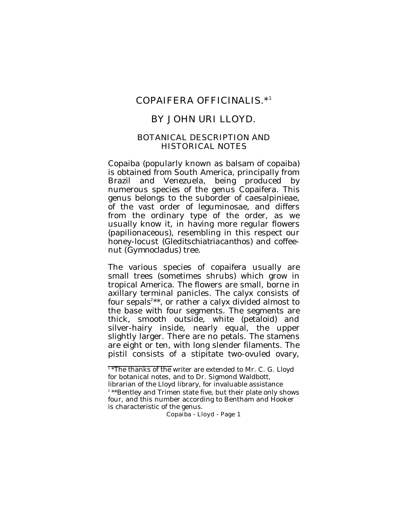# COPAIFERA OFFICINALIS.\*<sup>1</sup>

# BY JOHN URI LLOYD.

#### BOTANICAL DESCRIPTION AND HISTORICAL NOTES

Copaiba (popularly known as balsam of copaiba) is obtained from South America, principally from Brazil and Venezuela, being produced by numerous species of the genus Copaifera. This genus belongs to the suborder of caesalpinieae, of the vast order of leguminosae, and differs from the ordinary type of the order, as we usually know it, in having more regular flowers (papilionaceous), resembling in this respect our honey-locust (*Gleditschiatriacanthos*) and coffeenut (*Gymnocladus*) tree.

The various species of copaifera usually are small trees (sometimes shrubs) which grow in tropical America. The flowers are small, borne in axillary terminal panicles. The calyx consists of four sepals<sup> $2**$ </sup>, or rather a calyx divided almost to the base with four segments. The segments are thick, smooth outside, white (petaloid) and silver-hairy inside, nearly equal, the upper slightly larger. There are no petals. The stamens are eight or ten, with long slender filaments. The pistil consists of a stipitate two-ovuled ovary,

<sup>1\*</sup>The thanks of the writer are extended to Mr. C. G. Lloyd for botanical notes, and to Dr. Sigmond Waldbott, librarian of the Lloyd library, for invaluable assistance 2 \*\*Bentley and Trimen state five, but their plate only shows four, and this number according to Bentham and Hooker is characteristic of the genus.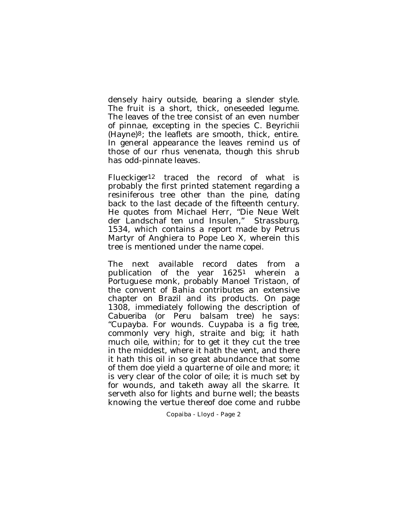densely hairy outside, bearing a slender style. The fruit is a short, thick, oneseeded legume. The leaves of the tree consist of an even number of pinnae, excepting in the species *C. Beyrichii* (Hayne)8; the leaflets are smooth, thick, entire. In general appearance the leaves remind us of those of our rhus venenata, though this shrub has odd-pinnate leaves.

Flueckiger12 traced the record of what is probably the first printed statement regarding a resiniferous tree other than the pine, dating back to the last decade of the fifteenth century. He quotes from Michael Herr, "Die Neue Welt der Landschaf ten und Insulen," Strassburg, 1534, which contains a report made by Petrus Martyr of Anghiera to Pope Leo X, wherein this tree is mentioned under the name *copei*.

The next available record dates from a publication of the year 16251 wherein a Portuguese monk, probably Manoel Tristaon, of the convent of Bahia contributes an extensive chapter on Brazil and its products. On page 1308, immediately following the description of *Cabueriba* (or Peru balsam tree) he says: "Cupayba. For wounds. Cuypaba is a fig tree, commonly very high, straite and big; it hath much oile, within; for to get it they cut the tree in the middest, where it hath the vent, and there it hath this oil in so great abundance that some of them doe yield a quarterne of oile and more; it is very clear of the color of oile; it is much set by for wounds, and taketh away all the skarre. It serveth also for lights and burne well; the beasts knowing the vertue thereof doe come and rubbe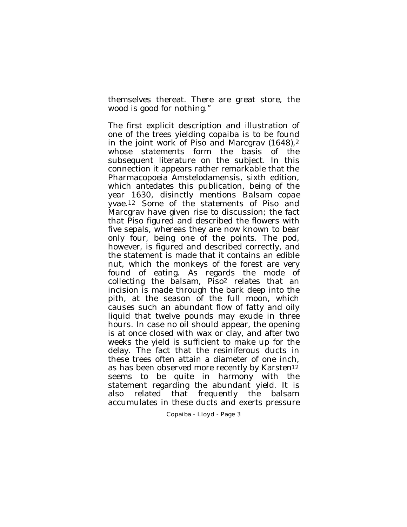themselves thereat. There are great store, the wood is good for nothing."

The first explicit description and illustration of one of the trees yielding copaiba is to be found in the joint work of Piso and Marcgrav (1648), $^2$ whose statements form the basis of the subsequent literature on the subject. In this connection it appears rather remarkable that the Pharmacopoeia Amstelodamensis, sixth edition, which antedates this publication, being of the year 1630, disinctly mentions *Balsam copae yvae*.12 Some of the statements of Piso and Marcgrav have given rise to discussion; the fact that Piso figured and described the flowers with five sepals, whereas they are now known to bear only four, being one of the points. The pod, however, is figured and described correctly, and the statement is made that it contains an edible nut, which the monkeys of the forest are very found of eating. As regards the mode of collecting the balsam, Piso2 relates that an incision is made through the bark deep into the pith, at the season of the full moon, which causes such an abundant flow of fatty and oily liquid that twelve pounds may exude in three hours. In case no oil should appear, the opening is at once closed with wax or clay, and after two weeks the yield is sufficient to make up for the delay. The fact that the resiniferous ducts in these trees often attain a diameter of one inch, as has been observed more recently by Karsten12 seems to be quite in harmony with the statement regarding the abundant yield. It is also related that frequently the balsam accumulates in these ducts and exerts pressure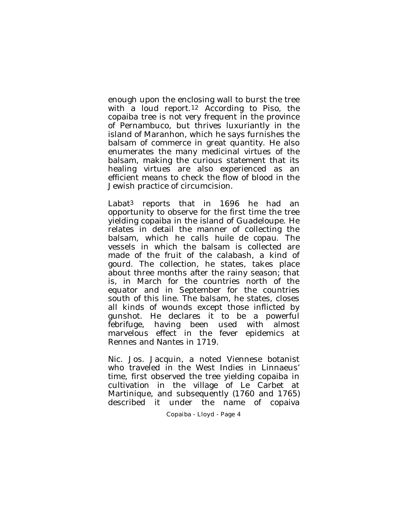enough upon the enclosing wall to burst the tree with a loud report.12 According to Piso, the copaiba tree is not very frequent in the province of Pernambuco, but thrives luxuriantly in the island of Maranhon, which he says furnishes the balsam of commerce in great quantity. He also enumerates the many medicinal virtues of the balsam, making the curious statement that its healing virtues are also experienced as an efficient means to check the flow of blood in the Jewish practice of circumcision.

Labat3 reports that in 1696 he had an opportunity to observe for the first time the tree yielding copaiba in the island of Guadeloupe. He relates in detail the manner of collecting the balsam, which he calls *huile de copau*. The vessels in which the balsam is collected are made of the fruit of the calabash, a kind of gourd. The collection, he states, takes place about three months after the rainy season; that is, in March for the countries north of the equator and in September for the countries south of this line. The balsam, he states, closes all kinds of wounds except those inflicted by gunshot. He declares it to be a powerful febrifuge, having been used with almost marvelous effect in the fever epidemics at Rennes and Nantes in 1719.

Nic. Jos. Jacquin, a noted Viennese botanist who traveled in the West Indies in Linnaeus' time, first observed the tree yielding copaiba in cultivation in the village of Le Carbet at Martinique, and subsequently (1760 and 1765) described it under the name of copaiva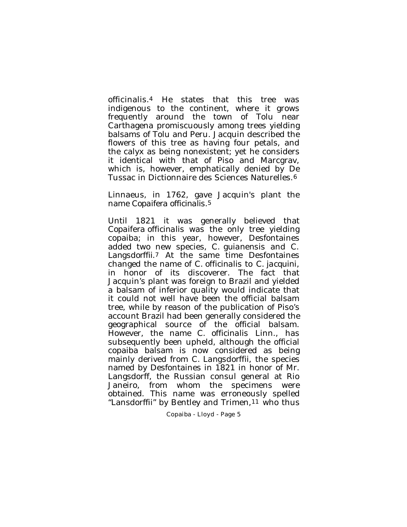officinalis.4 He states that this tree was indigenous to the continent, where it grows frequently around the town of Tolu near Carthagena promiscuously among trees yielding balsams of Tolu and Peru. Jacquin described the flowers of this tree as having four petals, and the calyx as being nonexistent; yet he considers it identical with that of Piso and Marcgrav, which is, however, emphatically denied by De Tussac in Dictionnaire des Sciences Naturelles.6

Linnaeus, in 1762, gave Jacquin's plant the name *Copaifera officinalis*.5

Until 1821 it was generally believed that *Copaifera officinalis* was the only tree yielding copaiba; in this year, however, Desfontaines added two new species, *C. guianensis* and *C. Langsdorffii*.7 At the same time Desfontaines changed the name of *C. officinalis* to *C. jacquini*, in honor of its discoverer. The fact that Jacquin's plant was foreign to Brazil and yielded a balsam of inferior quality would indicate that it could not well have been the official balsam tree, while by reason of the publication of Piso's account Brazil had been generally considered the geographical source of the official balsam. However, the name *C. officinalis* Linn., has subsequently been upheld, although the official copaiba balsam is now considered as being mainly derived from *C. Langsdorffii*, the species named by Desfontaines in 1821 in honor of Mr. Langsdorff, the Russian consul general at Rio Janeiro, from whom the specimens were obtained. This name was erroneously spelled "Lansdorffii" by Bentley and Trimen, <sup>11</sup> who thus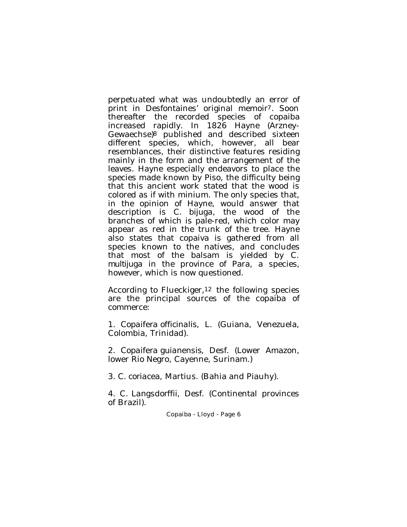perpetuated what was undoubtedly an error of print in Desfontaines' original memoir7. Soon thereafter the recorded species of copaiba increased rapidly. In 1826 Hayne (Arzney-Gewaechse)8 published and described sixteen different species, which, however, all bear resemblances, their distinctive features residing mainly in the form and the arrangement of the leaves. Hayne especially endeavors to place the species made known by Piso, the difficulty being that this ancient work stated that the wood is colored as if with minium. The only species that, in the opinion of Hayne, would answer that description is *C. bijuga*, the wood of the branches of which is pale-red, which color may appear as red in the trunk of the tree. Hayne also states that copaiva is gathered from all species known to the natives, and concludes that most of the balsam is yielded by *C. multijuga* in the province of Para, a species, however, which is now questioned.

According to Flueckiger,12 the following species are the principal sources of the copaiba of commerce:

1. *Copaifera officinalis*, L. (Guiana, Venezuela, Colombia, Trinidad).

2. *Copaifera guianensis*, Desf. (Lower Amazon, lower Rio Negro, Cayenne, Surinam.)

3. *C. coriacea*, Martius. (Bahia and Piauhy).

4. C*. Langsdorffii*, Desf. (Continental provinces of Brazil).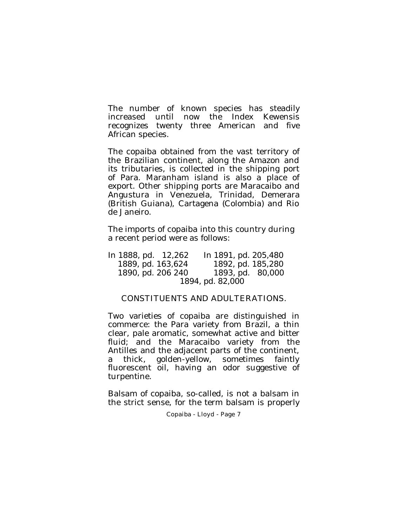The number of known species has steadily increased until now the Index Kewensis recognizes twenty three American and five African species.

The copaiba obtained from the vast territory of the Brazilian continent, along the Amazon and its tributaries, is collected in the shipping port of Para. Maranham island is also a place of export. Other shipping ports are Maracaibo and Angustura in Venezuela, Trinidad, Demerara (British Guiana), Cartagena (Colombia) and Rio de Janeiro.

The imports of copaiba into this country during a recent period were as follows:

| In 1888, pd. 12,262 | In 1891, pd. 205,480 |
|---------------------|----------------------|
| 1889, pd. 163,624   | 1892, pd. 185,280    |
| 1890, pd. 206 240   | 1893, pd. 80,000     |
| 1894, pd. 82,000    |                      |

### CONSTITUENTS AND ADULTERATIONS.

Two varieties of copaiba are distinguished in commerce: the Para variety from Brazil, a thin clear, pale aromatic, somewhat active and bitter fluid; and the Maracaibo variety from the Antilles and the adjacent parts of the continent, a thick, golden-yellow, sometimes faintly fluorescent oil, having an odor suggestive of turpentine.

Balsam of copaiba, so-called, is not a balsam in the strict sense, for the term balsam is properly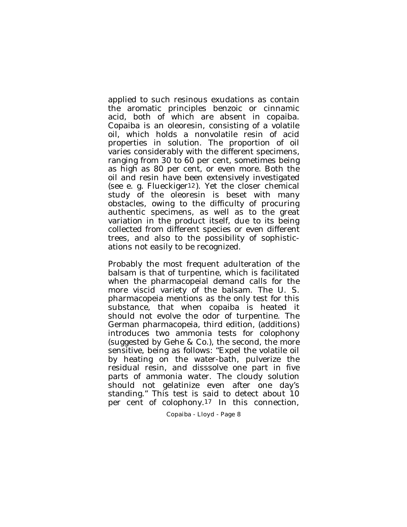applied to such resinous exudations as contain the aromatic principles benzoic or cinnamic acid, both of which are absent in copaiba. Copaiba is an oleoresin, consisting of a volatile oil, which holds a nonvolatile resin of acid properties in solution. The proportion of oil varies considerably with the different specimens, ranging from 30 to 60 per cent, sometimes being as high as 80 per cent, or even more. Both the oil and resin have been extensively investigated (see e. g. Flueckiger12). Yet the closer chemical study of the oleoresin is beset with many obstacles, owing to the difficulty of procuring authentic specimens, as well as to the great variation in the product itself, due to its being collected from different species or even different trees, and also to the possibility of sophistications not easily to be recognized.

Probably the most frequent adulteration of the balsam is that of turpentine, which is facilitated when the pharmacopeial demand calls for the more viscid variety of the balsam. The U. S. pharmacopeia mentions as the only test for this substance, that when copaiba is heated it should not evolve the odor of turpentine. The German pharmacopeia, third edition, (additions) introduces two ammonia tests for colophony (suggested by Gehe & Co.), the second, the more sensitive, being as follows: "Expel the volatile oil by heating on the water-bath, pulverize the residual resin, and disssolve one part in five parts of ammonia water. The cloudy solution should not gelatinize even after one day's standing." This test is said to detect about 10 per cent of colophony.17 In this connection,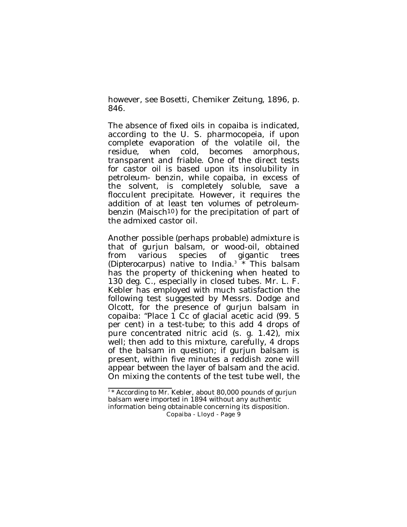however, see Bosetti, Chemiker Zeitung, 1896, p. 846.

The absence of fixed oils in copaiba is indicated, according to the U. S. pharmocopeia, if upon complete evaporation of the volatile oil, the residue, when cold, becomes amorphous, transparent and friable. One of the direct tests for castor oil is based upon its insolubility in petroleum- benzin, while copaiba, in excess of the solvent, is completely soluble, save a flocculent precipitate. However, it requires the addition of at least ten volumes of petroleumbenzin (Maisch10) for the precipitation of part of the admixed castor oil.

Another possible (perhaps probable) admixture is that of gurjun balsam, or wood-oil, obtained from various species of gigantic trees (Dipterocarpus) native to India.<sup>3</sup> \* This balsam has the property of thickening when heated to 130 deg. C., especially in closed tubes. Mr. L. F. Kebler has employed with much satisfaction the following test suggested by Messrs. Dodge and Olcott, for the presence of gurjun balsam in copaiba: "Place 1 Cc of glacial acetic acid (99. 5 per cent) in a test-tube; to this add 4 drops of pure concentrated nitric acid (s. g. 1.42), mix well; then add to this mixture, carefully, 4 drops of the balsam in question; if gurjun balsam is present, within five minutes a reddish zone will appear between the layer of balsam and the acid. On mixing the contents of the test tube well, the

<sup>3</sup> \* According to Mr. Kebler, about 80,000 pounds of gurjun balsam were imported in 1894 without any authentic information being obtainable concerning its disposition.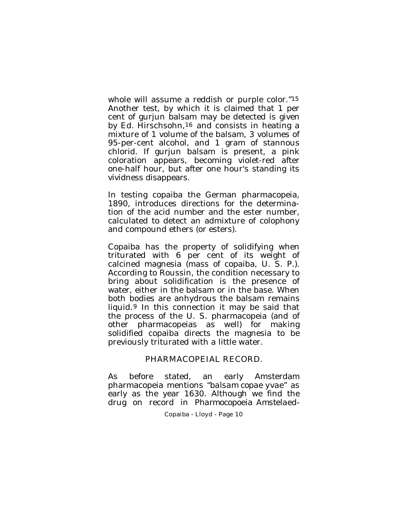whole will assume a reddish or purple color."15 Another test, by which it is claimed that 1 per cent of gurjun balsam may be detected is given by Ed. Hirschsohn,16 and consists in heating a mixture of 1 volume of the balsam, 3 volumes of 95-per-cent alcohol, and 1 gram of stannous chlorid. If gurjun balsam is present, a pink coloration appears, becoming violet-red after one-half hour, but after one hour's standing its vividness disappears.

In testing copaiba the German pharmacopeia, 1890, introduces directions for the determination of the acid number and the ester number, calculated to detect an admixture of colophony and compound ethers (or esters).

Copaiba has the property of solidifying when triturated with 6 per cent of its weight of calcined magnesia (mass of copaiba, U. S. P.). According to Roussin, the condition necessary to bring about solidification is the presence of water, either in the balsam or in the base. When both bodies are anhydrous the balsam remains liquid.9 In this connection it may be said that the process of the U. S. pharmacopeia (and of other pharmacopeias as well) for making solidified copaiba directs the magnesia to be previously triturated with a little water.

#### PHARMACOPEIAL RECORD.

As before stated, an early Amsterdam pharmacopeia mentions "*balsam copae yvae*" as early as the year 1630. Although we find the drug on record in *Pharmocopoeia Amstelaed-*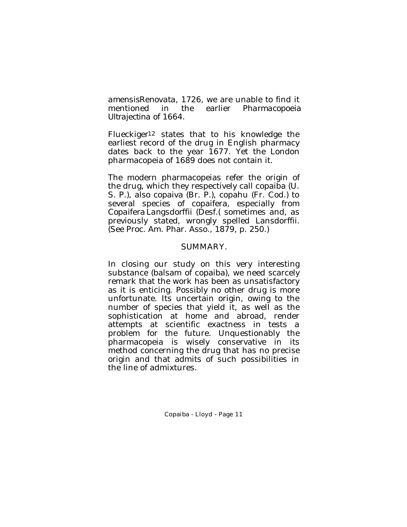*amensis Renovata*, 1726, we are unable to find it mentioned in the earlier *Pharmacopoeia Ultrajectina* of 1664.

Flueckiger12 states that to his knowledge the earliest record of the drug in English pharmacy dates back to the year 1677. Yet the London pharmacopeia of 1689 does not contain it.

The modern pharmacopeias refer the origin of the drug, which they respectively call copaiba (U. S. P.), also copaiva (Br. P.), copahu (Fr. Cod.) to several species of copaifera, especially from *Copaifera Langsdorffii* (Desf.( sometimes and, as previously stated, wrongly spelled Lansdorffii. (See Proc. Am. Phar. Asso., 1879, p. 250.)

### SUMMARY.

In closing our study on this very interesting substance (balsam of copaiba), we need scarcely remark that the work has been as unsatisfactory as it is enticing. Possibly no other drug is more unfortunate. Its uncertain origin, owing to the number of species that yield it, as well as the sophistication at home and abroad, render attempts at scientific exactness in tests a problem for the future. Unquestionably the pharmacopeia is wisely conservative in its method concerning the drug that has no precise origin and that admits of such possibilities in the line of admixtures.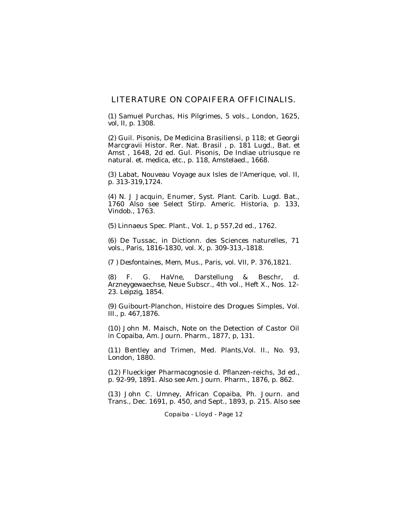### LITERATURE ON COPAIFERA OFFICINALIS.

(1) Samuel Purchas, His Pilgrimes, 5 vols., London, 1625, vol, II, p. 1308.

(2) Guil. Pisonis, De Medicina Brasiliensi, p 118; et Georgii Marcgravii Histor. Rer. Nat. Brasil , p. 181 Lugd., Bat. et Amst , 1648, 2d ed. Gul. Pisonis, De Indiae utriusque re natural. et. medica, etc., p. 118, Amstelaed., 1668.

(3) Labat, Nouveau Voyage aux Isles de l'Amerique, vol. II, p. 313-319,1724.

(4) N. J Jacquin, Enumer, Syst. Plant. Carib. Lugd. Bat., 1760 Also see Select Stirp. Americ. Historia, p. 133, Vindob., 1763.

(5) Linnaeus Spec. Plant., Vol. 1, p 557,2d ed., 1762.

(6) De Tussac, in Dictionn. des Sciences naturelles, 71 vols., Paris, 1816-1830, vol. X, p. 309-313,-1818.

(7 ) Desfontaines, Mem, Mus., Paris, vol. VII, P. 376,1821.

(8) F. G. HaVne, Darstellung & Beschr, d. Arzneygewaechse, Neue Subscr., 4th vol., Heft X., Nos. 12- 23. Leipzig, 1854.

(9) Guibourt-Planchon, Histoire des Drogues Simples, Vol. III., p. 467,1876.

(10) John M. Maisch, Note on the Detection of Castor Oil in Copaiba, Am. Journ. Pharm., 1877, p, 131.

(11) Bentley and Trimen, Med. Plants,Vol. II., No. 93, London, 1880.

(12) Flueckiger Pharmacognosie d. Pflanzen-reichs, 3d ed., p. 92-99, 1891. Also see Am. Journ. Pharm., 1876, p. 862.

(13) John C. Umney, African Copaiba, Ph. Journ. and Trans., Dec. 1691, p. 450, and Sept., 1893, p. 215. Also see

#### Copaiba - Lloyd - Page 12